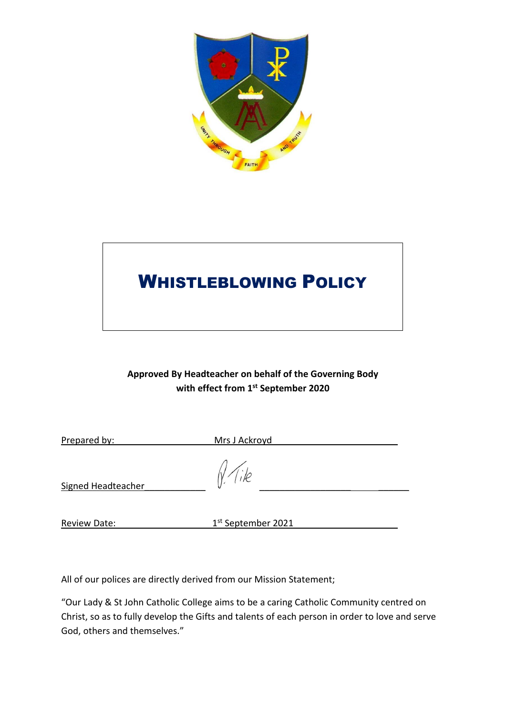

# WHISTLEBLOWING POLICY

# **Approved By Headteacher on behalf of the Governing Body with effect from 1 st September 2020**

| Prepared by:        | Mrs J Ackroyd      |  |
|---------------------|--------------------|--|
| Signed Headteacher  | $N$ (ike           |  |
| <b>Review Date:</b> | 1st September 2021 |  |

All of our polices are directly derived from our Mission Statement;

"Our Lady & St John Catholic College aims to be a caring Catholic Community centred on Christ, so as to fully develop the Gifts and talents of each person in order to love and serve God, others and themselves."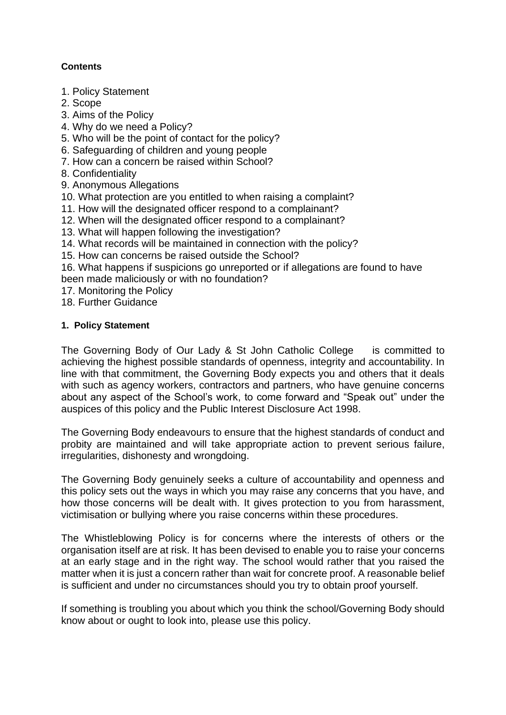## **Contents**

- 1. Policy Statement
- 2. Scope
- 3. Aims of the Policy
- 4. Why do we need a Policy?
- 5. Who will be the point of contact for the policy?
- 6. Safeguarding of children and young people
- 7. How can a concern be raised within School?
- 8. Confidentiality
- 9. Anonymous Allegations
- 10. What protection are you entitled to when raising a complaint?
- 11. How will the designated officer respond to a complainant?
- 12. When will the designated officer respond to a complainant?
- 13. What will happen following the investigation?
- 14. What records will be maintained in connection with the policy?
- 15. How can concerns be raised outside the School?
- 16. What happens if suspicions go unreported or if allegations are found to have been made maliciously or with no foundation?
- 17. Monitoring the Policy
- 18. Further Guidance

### **1. Policy Statement**

The Governing Body of Our Lady & St John Catholic College is committed to achieving the highest possible standards of openness, integrity and accountability. In line with that commitment, the Governing Body expects you and others that it deals with such as agency workers, contractors and partners, who have genuine concerns about any aspect of the School's work, to come forward and "Speak out" under the auspices of this policy and the Public Interest Disclosure Act 1998.

The Governing Body endeavours to ensure that the highest standards of conduct and probity are maintained and will take appropriate action to prevent serious failure, irregularities, dishonesty and wrongdoing.

The Governing Body genuinely seeks a culture of accountability and openness and this policy sets out the ways in which you may raise any concerns that you have, and how those concerns will be dealt with. It gives protection to you from harassment, victimisation or bullying where you raise concerns within these procedures.

The Whistleblowing Policy is for concerns where the interests of others or the organisation itself are at risk. It has been devised to enable you to raise your concerns at an early stage and in the right way. The school would rather that you raised the matter when it is just a concern rather than wait for concrete proof. A reasonable belief is sufficient and under no circumstances should you try to obtain proof yourself.

If something is troubling you about which you think the school/Governing Body should know about or ought to look into, please use this policy.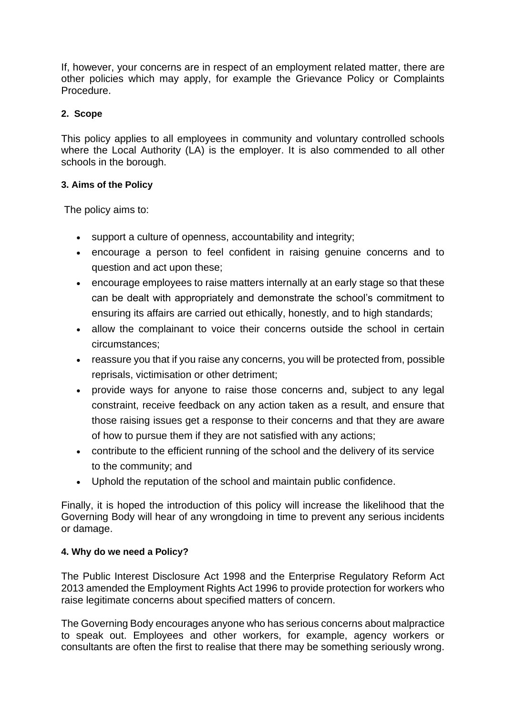If, however, your concerns are in respect of an employment related matter, there are other policies which may apply, for example the Grievance Policy or Complaints Procedure.

## **2. Scope**

This policy applies to all employees in community and voluntary controlled schools where the Local Authority (LA) is the employer. It is also commended to all other schools in the borough.

### **3. Aims of the Policy**

The policy aims to:

- support a culture of openness, accountability and integrity;
- encourage a person to feel confident in raising genuine concerns and to question and act upon these;
- encourage employees to raise matters internally at an early stage so that these can be dealt with appropriately and demonstrate the school's commitment to ensuring its affairs are carried out ethically, honestly, and to high standards;
- allow the complainant to voice their concerns outside the school in certain circumstances;
- reassure you that if you raise any concerns, you will be protected from, possible reprisals, victimisation or other detriment;
- provide ways for anyone to raise those concerns and, subject to any legal constraint, receive feedback on any action taken as a result, and ensure that those raising issues get a response to their concerns and that they are aware of how to pursue them if they are not satisfied with any actions;
- contribute to the efficient running of the school and the delivery of its service to the community; and
- Uphold the reputation of the school and maintain public confidence.

Finally, it is hoped the introduction of this policy will increase the likelihood that the Governing Body will hear of any wrongdoing in time to prevent any serious incidents or damage.

### **4. Why do we need a Policy?**

The Public Interest Disclosure Act 1998 and the Enterprise Regulatory Reform Act 2013 amended the Employment Rights Act 1996 to provide protection for workers who raise legitimate concerns about specified matters of concern.

The Governing Body encourages anyone who has serious concerns about malpractice to speak out. Employees and other workers, for example, agency workers or consultants are often the first to realise that there may be something seriously wrong.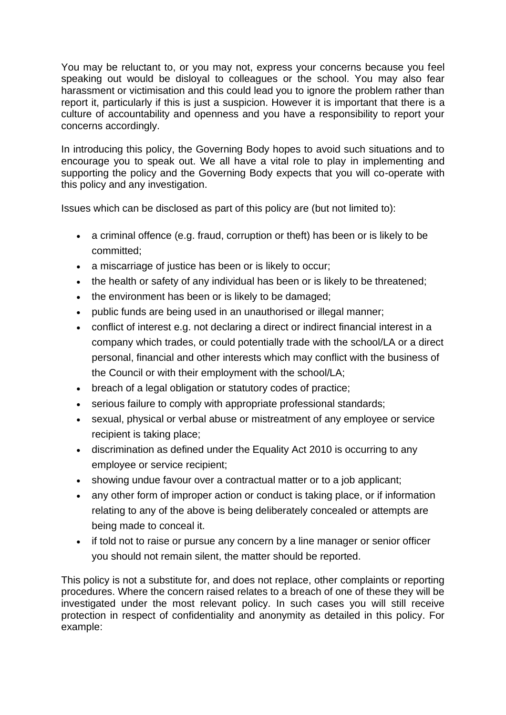You may be reluctant to, or you may not, express your concerns because you feel speaking out would be disloyal to colleagues or the school. You may also fear harassment or victimisation and this could lead you to ignore the problem rather than report it, particularly if this is just a suspicion. However it is important that there is a culture of accountability and openness and you have a responsibility to report your concerns accordingly.

In introducing this policy, the Governing Body hopes to avoid such situations and to encourage you to speak out. We all have a vital role to play in implementing and supporting the policy and the Governing Body expects that you will co-operate with this policy and any investigation.

Issues which can be disclosed as part of this policy are (but not limited to):

- a criminal offence (e.g. fraud, corruption or theft) has been or is likely to be committed;
- a miscarriage of justice has been or is likely to occur;
- the health or safety of any individual has been or is likely to be threatened;
- the environment has been or is likely to be damaged;
- public funds are being used in an unauthorised or illegal manner:
- conflict of interest e.g. not declaring a direct or indirect financial interest in a company which trades, or could potentially trade with the school/LA or a direct personal, financial and other interests which may conflict with the business of the Council or with their employment with the school/LA;
- breach of a legal obligation or statutory codes of practice:
- serious failure to comply with appropriate professional standards;
- sexual, physical or verbal abuse or mistreatment of any employee or service recipient is taking place;
- discrimination as defined under the Equality Act 2010 is occurring to any employee or service recipient;
- showing undue favour over a contractual matter or to a job applicant:
- any other form of improper action or conduct is taking place, or if information relating to any of the above is being deliberately concealed or attempts are being made to conceal it.
- if told not to raise or pursue any concern by a line manager or senior officer you should not remain silent, the matter should be reported.

This policy is not a substitute for, and does not replace, other complaints or reporting procedures. Where the concern raised relates to a breach of one of these they will be investigated under the most relevant policy. In such cases you will still receive protection in respect of confidentiality and anonymity as detailed in this policy. For example: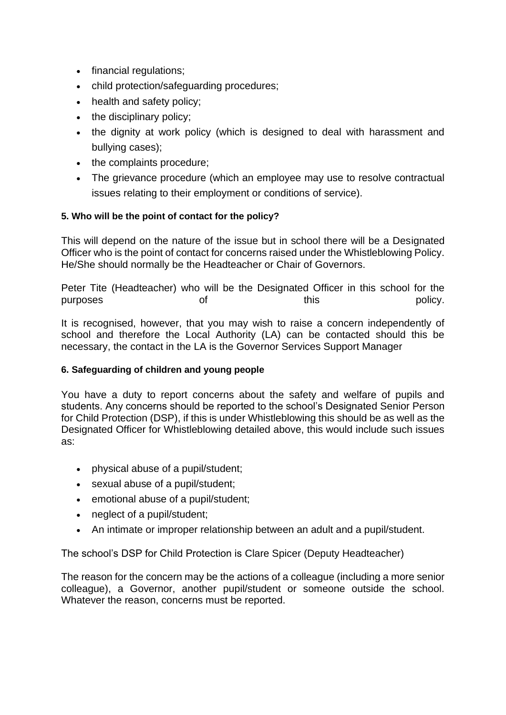- financial regulations;
- child protection/safeguarding procedures;
- health and safety policy;
- the disciplinary policy;
- the dignity at work policy (which is designed to deal with harassment and bullying cases);
- the complaints procedure;
- The grievance procedure (which an employee may use to resolve contractual issues relating to their employment or conditions of service).

# **5. Who will be the point of contact for the policy?**

This will depend on the nature of the issue but in school there will be a Designated Officer who is the point of contact for concerns raised under the Whistleblowing Policy. He/She should normally be the Headteacher or Chair of Governors.

Peter Tite (Headteacher) who will be the Designated Officer in this school for the purposes of this policy.

It is recognised, however, that you may wish to raise a concern independently of school and therefore the Local Authority (LA) can be contacted should this be necessary, the contact in the LA is the Governor Services Support Manager

# **6. Safeguarding of children and young people**

You have a duty to report concerns about the safety and welfare of pupils and students. Any concerns should be reported to the school's Designated Senior Person for Child Protection (DSP), if this is under Whistleblowing this should be as well as the Designated Officer for Whistleblowing detailed above, this would include such issues as:

- physical abuse of a pupil/student;
- sexual abuse of a pupil/student;
- emotional abuse of a pupil/student;
- neglect of a pupil/student;
- An intimate or improper relationship between an adult and a pupil/student.

The school's DSP for Child Protection is Clare Spicer (Deputy Headteacher)

The reason for the concern may be the actions of a colleague (including a more senior colleague), a Governor, another pupil/student or someone outside the school. Whatever the reason, concerns must be reported.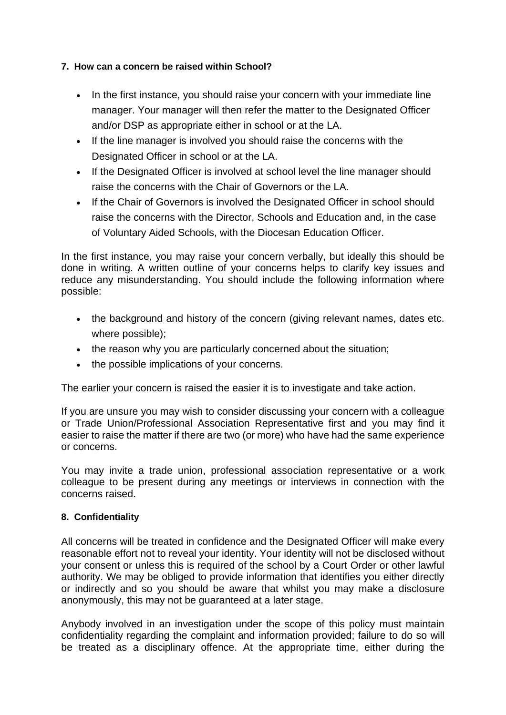## **7. How can a concern be raised within School?**

- In the first instance, you should raise your concern with your immediate line manager. Your manager will then refer the matter to the Designated Officer and/or DSP as appropriate either in school or at the LA.
- If the line manager is involved you should raise the concerns with the Designated Officer in school or at the LA.
- If the Designated Officer is involved at school level the line manager should raise the concerns with the Chair of Governors or the LA.
- If the Chair of Governors is involved the Designated Officer in school should raise the concerns with the Director, Schools and Education and, in the case of Voluntary Aided Schools, with the Diocesan Education Officer.

In the first instance, you may raise your concern verbally, but ideally this should be done in writing. A written outline of your concerns helps to clarify key issues and reduce any misunderstanding. You should include the following information where possible:

- the background and history of the concern (giving relevant names, dates etc. where possible);
- the reason why you are particularly concerned about the situation;
- the possible implications of your concerns.

The earlier your concern is raised the easier it is to investigate and take action.

If you are unsure you may wish to consider discussing your concern with a colleague or Trade Union/Professional Association Representative first and you may find it easier to raise the matter if there are two (or more) who have had the same experience or concerns.

You may invite a trade union, professional association representative or a work colleague to be present during any meetings or interviews in connection with the concerns raised.

### **8. Confidentiality**

All concerns will be treated in confidence and the Designated Officer will make every reasonable effort not to reveal your identity. Your identity will not be disclosed without your consent or unless this is required of the school by a Court Order or other lawful authority. We may be obliged to provide information that identifies you either directly or indirectly and so you should be aware that whilst you may make a disclosure anonymously, this may not be guaranteed at a later stage.

Anybody involved in an investigation under the scope of this policy must maintain confidentiality regarding the complaint and information provided; failure to do so will be treated as a disciplinary offence. At the appropriate time, either during the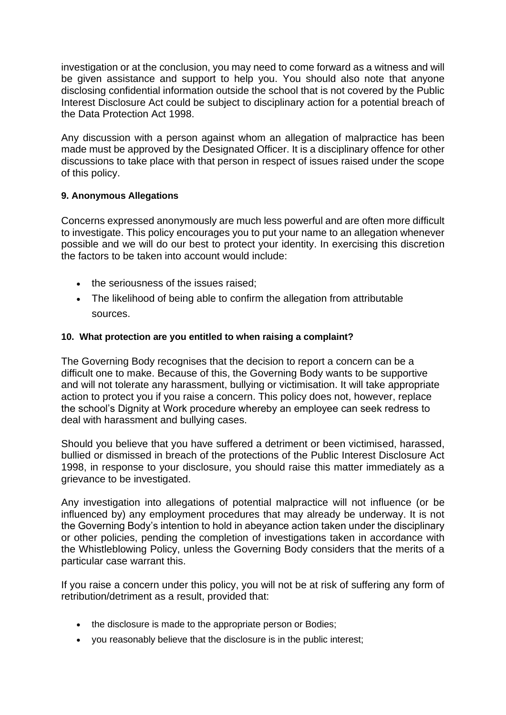investigation or at the conclusion, you may need to come forward as a witness and will be given assistance and support to help you. You should also note that anyone disclosing confidential information outside the school that is not covered by the Public Interest Disclosure Act could be subject to disciplinary action for a potential breach of the Data Protection Act 1998.

Any discussion with a person against whom an allegation of malpractice has been made must be approved by the Designated Officer. It is a disciplinary offence for other discussions to take place with that person in respect of issues raised under the scope of this policy.

### **9. Anonymous Allegations**

Concerns expressed anonymously are much less powerful and are often more difficult to investigate. This policy encourages you to put your name to an allegation whenever possible and we will do our best to protect your identity. In exercising this discretion the factors to be taken into account would include:

- the seriousness of the issues raised;
- The likelihood of being able to confirm the allegation from attributable sources.

### **10. What protection are you entitled to when raising a complaint?**

The Governing Body recognises that the decision to report a concern can be a difficult one to make. Because of this, the Governing Body wants to be supportive and will not tolerate any harassment, bullying or victimisation. It will take appropriate action to protect you if you raise a concern. This policy does not, however, replace the school's Dignity at Work procedure whereby an employee can seek redress to deal with harassment and bullying cases.

Should you believe that you have suffered a detriment or been victimised, harassed, bullied or dismissed in breach of the protections of the Public Interest Disclosure Act 1998, in response to your disclosure, you should raise this matter immediately as a grievance to be investigated.

Any investigation into allegations of potential malpractice will not influence (or be influenced by) any employment procedures that may already be underway. It is not the Governing Body's intention to hold in abeyance action taken under the disciplinary or other policies, pending the completion of investigations taken in accordance with the Whistleblowing Policy, unless the Governing Body considers that the merits of a particular case warrant this.

If you raise a concern under this policy, you will not be at risk of suffering any form of retribution/detriment as a result, provided that:

- the disclosure is made to the appropriate person or Bodies;
- you reasonably believe that the disclosure is in the public interest;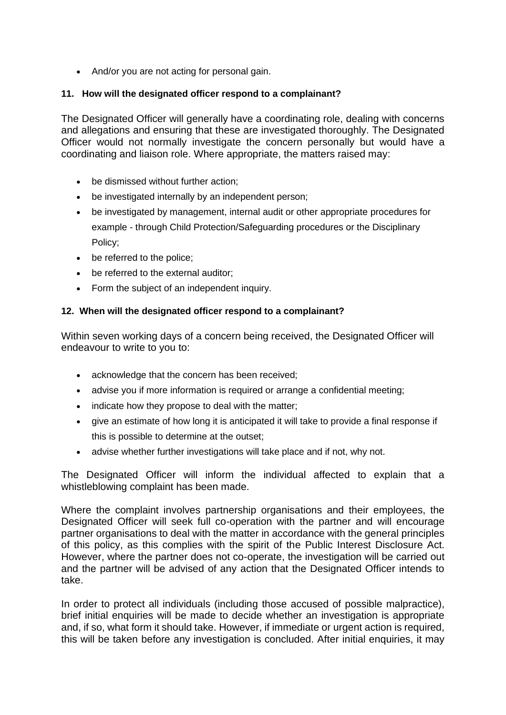• And/or you are not acting for personal gain.

## **11. How will the designated officer respond to a complainant?**

The Designated Officer will generally have a coordinating role, dealing with concerns and allegations and ensuring that these are investigated thoroughly. The Designated Officer would not normally investigate the concern personally but would have a coordinating and liaison role. Where appropriate, the matters raised may:

- be dismissed without further action;
- be investigated internally by an independent person;
- be investigated by management, internal audit or other appropriate procedures for example - through Child Protection/Safeguarding procedures or the Disciplinary Policy;
- be referred to the police;
- be referred to the external auditor;
- Form the subject of an independent inquiry.

### **12. When will the designated officer respond to a complainant?**

Within seven working days of a concern being received, the Designated Officer will endeavour to write to you to:

- acknowledge that the concern has been received;
- advise you if more information is required or arrange a confidential meeting:
- indicate how they propose to deal with the matter;
- give an estimate of how long it is anticipated it will take to provide a final response if this is possible to determine at the outset;
- advise whether further investigations will take place and if not, why not.

The Designated Officer will inform the individual affected to explain that a whistleblowing complaint has been made.

Where the complaint involves partnership organisations and their employees, the Designated Officer will seek full co-operation with the partner and will encourage partner organisations to deal with the matter in accordance with the general principles of this policy, as this complies with the spirit of the Public Interest Disclosure Act. However, where the partner does not co-operate, the investigation will be carried out and the partner will be advised of any action that the Designated Officer intends to take.

In order to protect all individuals (including those accused of possible malpractice), brief initial enquiries will be made to decide whether an investigation is appropriate and, if so, what form it should take. However, if immediate or urgent action is required, this will be taken before any investigation is concluded. After initial enquiries, it may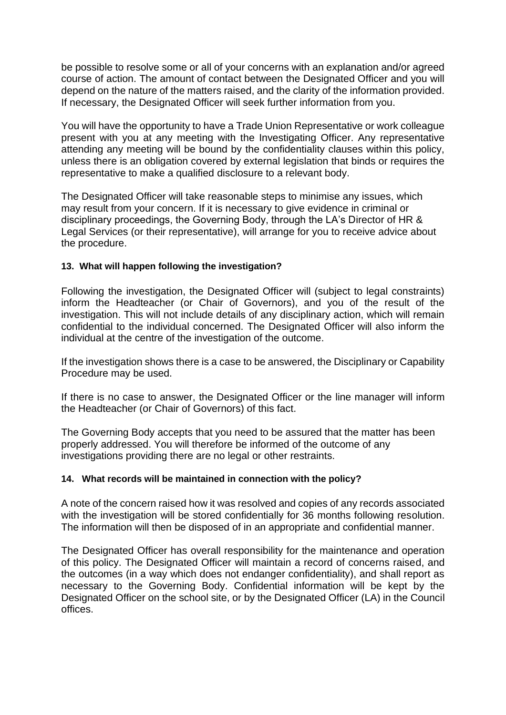be possible to resolve some or all of your concerns with an explanation and/or agreed course of action. The amount of contact between the Designated Officer and you will depend on the nature of the matters raised, and the clarity of the information provided. If necessary, the Designated Officer will seek further information from you.

You will have the opportunity to have a Trade Union Representative or work colleague present with you at any meeting with the Investigating Officer. Any representative attending any meeting will be bound by the confidentiality clauses within this policy, unless there is an obligation covered by external legislation that binds or requires the representative to make a qualified disclosure to a relevant body.

The Designated Officer will take reasonable steps to minimise any issues, which may result from your concern. If it is necessary to give evidence in criminal or disciplinary proceedings, the Governing Body, through the LA's Director of HR & Legal Services (or their representative), will arrange for you to receive advice about the procedure.

### **13. What will happen following the investigation?**

Following the investigation, the Designated Officer will (subject to legal constraints) inform the Headteacher (or Chair of Governors), and you of the result of the investigation. This will not include details of any disciplinary action, which will remain confidential to the individual concerned. The Designated Officer will also inform the individual at the centre of the investigation of the outcome.

If the investigation shows there is a case to be answered, the Disciplinary or Capability Procedure may be used.

If there is no case to answer, the Designated Officer or the line manager will inform the Headteacher (or Chair of Governors) of this fact.

The Governing Body accepts that you need to be assured that the matter has been properly addressed. You will therefore be informed of the outcome of any investigations providing there are no legal or other restraints.

#### **14. What records will be maintained in connection with the policy?**

A note of the concern raised how it was resolved and copies of any records associated with the investigation will be stored confidentially for 36 months following resolution. The information will then be disposed of in an appropriate and confidential manner.

The Designated Officer has overall responsibility for the maintenance and operation of this policy. The Designated Officer will maintain a record of concerns raised, and the outcomes (in a way which does not endanger confidentiality), and shall report as necessary to the Governing Body. Confidential information will be kept by the Designated Officer on the school site, or by the Designated Officer (LA) in the Council offices.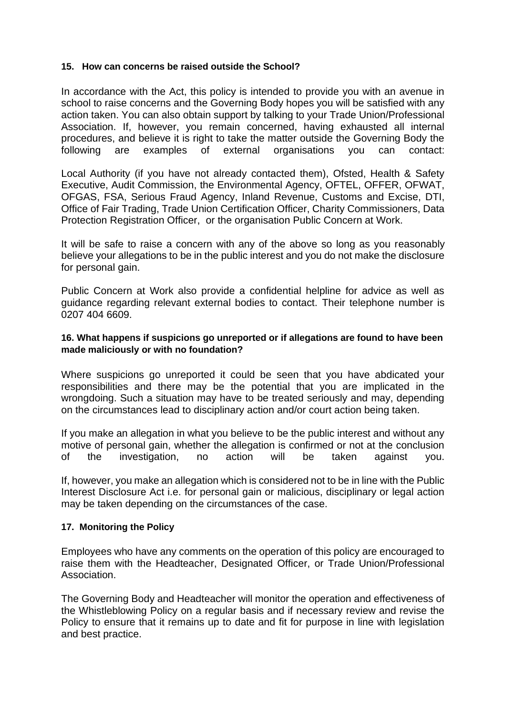#### **15. How can concerns be raised outside the School?**

In accordance with the Act, this policy is intended to provide you with an avenue in school to raise concerns and the Governing Body hopes you will be satisfied with any action taken. You can also obtain support by talking to your Trade Union/Professional Association. If, however, you remain concerned, having exhausted all internal procedures, and believe it is right to take the matter outside the Governing Body the following are examples of external organisations you can contact:

Local Authority (if you have not already contacted them), Ofsted, Health & Safety Executive, Audit Commission, the Environmental Agency, OFTEL, OFFER, OFWAT, OFGAS, FSA, Serious Fraud Agency, Inland Revenue, Customs and Excise, DTI, Office of Fair Trading, Trade Union Certification Officer, Charity Commissioners, Data Protection Registration Officer, or the organisation Public Concern at Work.

It will be safe to raise a concern with any of the above so long as you reasonably believe your allegations to be in the public interest and you do not make the disclosure for personal gain.

Public Concern at Work also provide a confidential helpline for advice as well as guidance regarding relevant external bodies to contact. Their telephone number is 0207 404 6609.

#### **16. What happens if suspicions go unreported or if allegations are found to have been made maliciously or with no foundation?**

Where suspicions go unreported it could be seen that you have abdicated your responsibilities and there may be the potential that you are implicated in the wrongdoing. Such a situation may have to be treated seriously and may, depending on the circumstances lead to disciplinary action and/or court action being taken.

If you make an allegation in what you believe to be the public interest and without any motive of personal gain, whether the allegation is confirmed or not at the conclusion of the investigation, no action will be taken against you.

If, however, you make an allegation which is considered not to be in line with the Public Interest Disclosure Act i.e. for personal gain or malicious, disciplinary or legal action may be taken depending on the circumstances of the case.

#### **17. Monitoring the Policy**

Employees who have any comments on the operation of this policy are encouraged to raise them with the Headteacher, Designated Officer, or Trade Union/Professional Association.

The Governing Body and Headteacher will monitor the operation and effectiveness of the Whistleblowing Policy on a regular basis and if necessary review and revise the Policy to ensure that it remains up to date and fit for purpose in line with legislation and best practice.